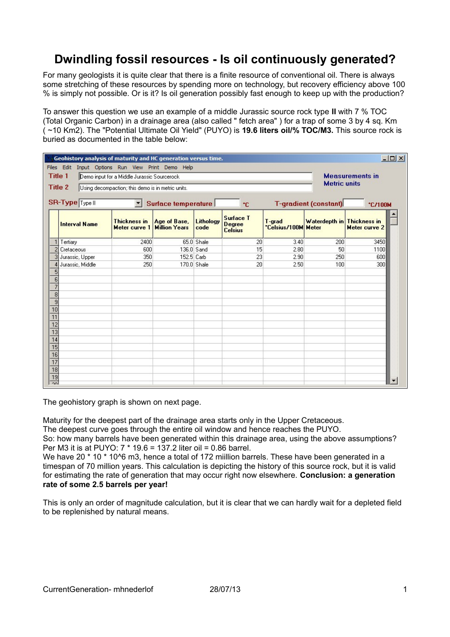## **Dwindling fossil resources - Is oil continuously generated?**

For many geologists it is quite clear that there is a finite resource of conventional oil. There is always some stretching of these resources by spending more on technology, but recovery efficiency above 100 % is simply not possible. Or is it? Is oil generation possibly fast enough to keep up with the production?

To answer this question we use an example of a middle Jurassic source rock type **II** with 7 % TOC (Total Organic Carbon) in a drainage area (also called " fetch area" ) for a trap of some 3 by 4 sq. Km ( ~10 Km2). The "Potential Ultimate Oil Yield" (PUYO) is **19.6 liters oil/% TOC/M3.** This source rock is buried as documented in the table below:

| $   \times$<br>Geohistory analysis of maturity and HC generation versus time. |                                                                 |                                      |                                      |                   |                                                     |                               |                              |                        |  |
|-------------------------------------------------------------------------------|-----------------------------------------------------------------|--------------------------------------|--------------------------------------|-------------------|-----------------------------------------------------|-------------------------------|------------------------------|------------------------|--|
| Files Edit<br>Input Options Run View Print Demo Help                          |                                                                 |                                      |                                      |                   |                                                     |                               |                              |                        |  |
| <b>Title 1</b><br>Demo input for a Middle Jurassic Sourcerock                 |                                                                 |                                      |                                      |                   |                                                     |                               |                              | <b>Measurements in</b> |  |
| <b>Title 2</b><br>Using decompaction; this demo is in metric units.           |                                                                 |                                      |                                      |                   |                                                     |                               | <b>Metric units</b>          |                        |  |
|                                                                               |                                                                 |                                      |                                      |                   |                                                     |                               |                              |                        |  |
|                                                                               | SR-Type Type II<br>Surface temperature<br>$\blacksquare$<br>*C. |                                      |                                      |                   |                                                     |                               | <b>T-gradient (constant)</b> | *C/100M                |  |
|                                                                               | <b>Interval Name</b>                                            | <b>Thickness in</b><br>Meter curve 1 | Age of Base,<br><b>Million Years</b> | Lithology<br>code | <b>Surface T</b><br><b>Degree</b><br><b>Celsius</b> | T-grad<br>*Celsius/100M Meter | Waterdepth in Thickness in   | Meter curve 2          |  |
| 1                                                                             | Tertiary                                                        | 2400                                 |                                      | 65.0 Shale        | 20                                                  | 3.40                          | 200                          | 3450                   |  |
| $\overline{c}$                                                                | Cretaceous                                                      | 600                                  | 136.0 Sand                           |                   | 15                                                  | 2.80                          | 50                           | 1100                   |  |
| 3                                                                             | Jurassic, Upper                                                 | 350                                  | 152.5 Carb                           |                   | 23                                                  | 2.90                          | 250                          | 600                    |  |
| $\overline{4}$                                                                | Jurassic, Middle                                                | 250                                  |                                      | 170.0 Shale       | 20                                                  | 2.50                          | 100                          | 300                    |  |
| $\overline{5}$                                                                |                                                                 |                                      |                                      |                   |                                                     |                               |                              |                        |  |
| $\overline{6}$                                                                |                                                                 |                                      |                                      |                   |                                                     |                               |                              |                        |  |
| $\overline{7}$                                                                |                                                                 |                                      |                                      |                   |                                                     |                               |                              |                        |  |
| $\overline{8}$                                                                |                                                                 |                                      |                                      |                   |                                                     |                               |                              |                        |  |
| $\frac{9}{10}$                                                                |                                                                 |                                      |                                      |                   |                                                     |                               |                              |                        |  |
| $\overline{11}$                                                               |                                                                 |                                      |                                      |                   |                                                     |                               |                              |                        |  |
|                                                                               |                                                                 |                                      |                                      |                   |                                                     |                               |                              |                        |  |
| $\frac{12}{13}$                                                               |                                                                 |                                      |                                      |                   |                                                     |                               |                              |                        |  |
| $\overline{14}$                                                               |                                                                 |                                      |                                      |                   |                                                     |                               |                              |                        |  |
| $\overline{15}$                                                               |                                                                 |                                      |                                      |                   |                                                     |                               |                              |                        |  |
|                                                                               |                                                                 |                                      |                                      |                   |                                                     |                               |                              |                        |  |
| $\frac{16}{17}$                                                               |                                                                 |                                      |                                      |                   |                                                     |                               |                              |                        |  |
|                                                                               |                                                                 |                                      |                                      |                   |                                                     |                               |                              |                        |  |
| $\overline{19}$                                                               |                                                                 |                                      |                                      |                   |                                                     |                               |                              |                        |  |
| $\overline{20}$                                                               |                                                                 |                                      |                                      |                   |                                                     |                               |                              |                        |  |

The geohistory graph is shown on next page.

Maturity for the deepest part of the drainage area starts only in the Upper Cretaceous.

The deepest curve goes through the entire oil window and hence reaches the PUYO.

So: how many barrels have been generated within this drainage area, using the above assumptions? Per M3 it is at PUYO: 7 \* 19.6 = 137.2 liter oil = 0.86 barrel.

We have 20  $*$  10  $*$  10 $<sup>6</sup>$  m3, hence a total of 172 miillion barrels. These have been generated in a</sup> timespan of 70 million years. This calculation is depicting the history of this source rock, but it is valid for estimating the rate of generation that may occur right now elsewhere. **Conclusion: a generation rate of some 2.5 barrels per year!**

This is only an order of magnitude calculation, but it is clear that we can hardly wait for a depleted field to be replenished by natural means.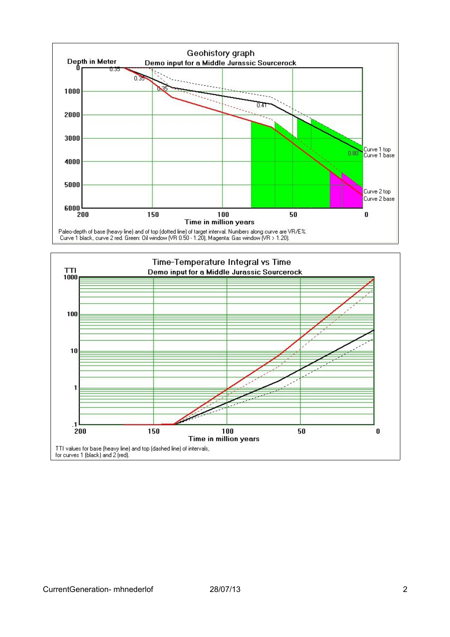